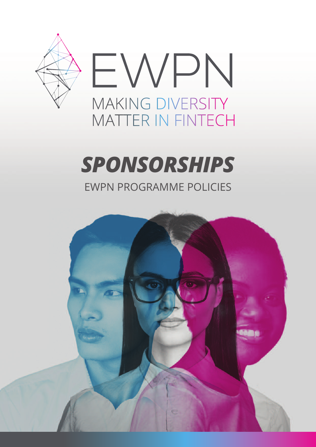

### **SPONSORSHIPS EWPN PROGRAMME POLICIES**

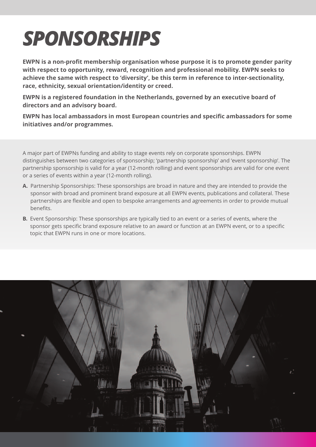# *SPONSORSHIPS*

**EWPN is a non-profit membership organisation whose purpose it is to promote gender parity with respect to opportunity, reward, recognition and professional mobility. EWPN seeks to achieve the same with respect to 'diversity', be this term in reference to inter-sectionality, race, ethnicity, sexual orientation/identity or creed.**

**EWPN is a registered foundation in the Netherlands, governed by an executive board of directors and an advisory board.**

**EWPN has local ambassadors in most European countries and specific ambassadors for some initiatives and/or programmes.**

a major part of EWPNs funding and ability to stage events rely on corporate sponsorships. EWPN distinguishes between two categories of sponsorship; 'partnership sponsorship' and 'event sponsorship'. The partnership sponsorship is valid for a year (12-month rolling) and event sponsorships are valid for one event or a series of events within a year (12-month rolling).

- **A.** Partnership sponsorships: These sponsorships are broad in nature and they are intended to provide the sponsor with broad and prominent brand exposure at all EWPN events, publications and collateral. These partnerships are flexible and open to bespoke arrangements and agreements in order to provide mutual benefits.
- **B.** Event Sponsorship: These sponsorships are typically tied to an event or a series of events, where the sponsor gets specific brand exposure relative to an award or function at an EWPN event, or to a specific topic that EWPN runs in one or more locations.

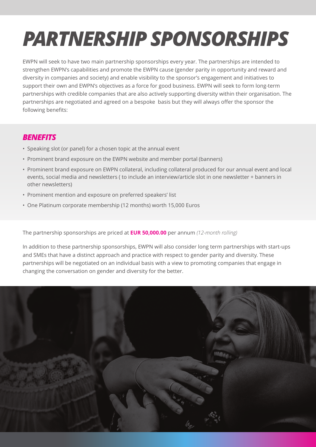# *PARTNERSHIP SPONSORSHIPS*

EWPN will seek to have two main partnership sponsorships every year. The partnerships are intended to strengthen EWPN's capabilities and promote the EWPN cause (gender parity in opportunity and reward and diversity in companies and society) and enable visibility to the sponsor's engagement and initiatives to support their own and EWPN's objectives as a force for good business. EWPN will seek to form long-term partnerships with credible companies that are also actively supporting diversity within their organisation. The partnerships are negotiated and agreed on a bespoke basis but they will always offer the sponsor the following benefits:

#### *BENEFITS*

- speaking slot (or panel) for a chosen topic at the annual event
- Prominent brand exposure on the EWPN website and member portal (banners)
- Prominent brand exposure on EWPN collateral, including collateral produced for our annual event and local events, social media and newsletters ( to include an interview/article slot in one newsletter + banners in other newsletters)
- Prominent mention and exposure on preferred speakers' list
- one Platinum corporate membership (12 months) worth 15,000 Euros

The partnership sponsorships are priced at **EUR 50,000.00** per annum *(12-month rolling)*

in addition to these partnership sponsorships, EWPN will also consider long term partnerships with start-ups and smEs that have a distinct approach and practice with respect to gender parity and diversity. These partnerships will be negotiated on an individual basis with a view to promoting companies that engage in changing the conversation on gender and diversity for the better.

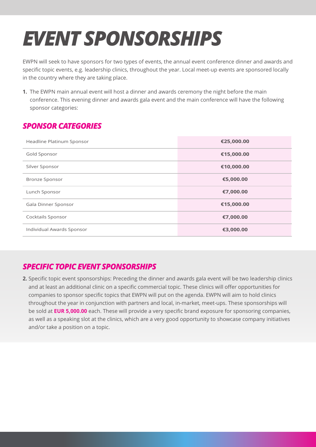# *EVENT SPONSORSHIPS*

EWPN will seek to have sponsors for two types of events, the annual event conference dinner and awards and specific topic events, e.g. leadership clinics, throughout the year. local meet-up events are sponsored locally in the country where they are taking place.

**1.** The EWPN main annual event will host a dinner and awards ceremony the night before the main conference. This evening dinner and awards gala event and the main conference will have the following sponsor categories:

#### *SPONSORCATEGORIES*

| Headline Platinum Sponsor | €25,000.00 |
|---------------------------|------------|
| Gold Sponsor              | €15,000.00 |
| Silver Sponsor            | €10,000.00 |
| <b>Bronze Sponsor</b>     | €5,000.00  |
| Lunch Sponsor             | €7,000.00  |
| Gala Dinner Sponsor       | €15,000.00 |
| Cocktails Sponsor         | €7,000.00  |
| Individual Awards Sponsor | €3,000.00  |

#### *SPECIFIC TOPIC EVENT SPONSORSHIPS*

**2.** specific topic event sponsorships: Preceding the dinner and awards gala event will be two leadership clinics and at least an additional clinic on a specific commercial topic. These clinics will offer opportunities for companies to sponsor specific topics that EWPN will put on the agenda. EWPN will aim to hold clinics throughout the year in conjunction with partners and local, in-market, meet-ups. These sponsorships will be sold at **EUR 5,000.00** each. These will provide a very specific brand exposure for sponsoring companies, as well as a speaking slot at the clinics, which are a very good opportunity to showcase company initiatives and/or take a position on a topic.